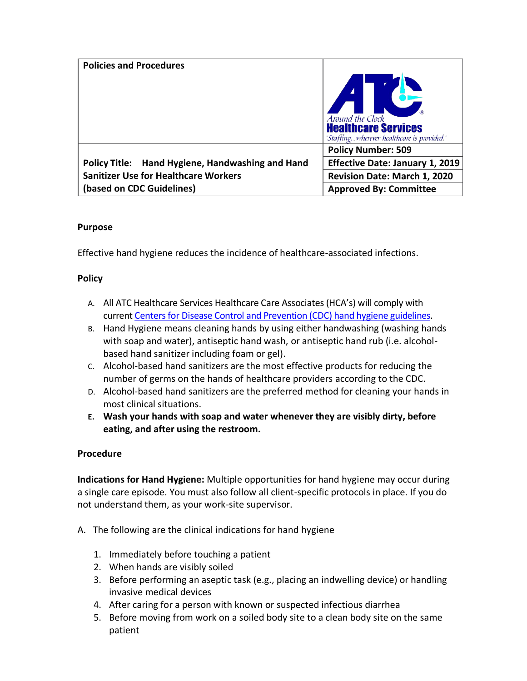| <b>Policies and Procedures</b>                   | Around the Clock<br><b>Healthcare Services</b><br>"Staffingwherever healthcare is provided." |
|--------------------------------------------------|----------------------------------------------------------------------------------------------|
|                                                  | <b>Policy Number: 509</b>                                                                    |
| Policy Title: Hand Hygiene, Handwashing and Hand | <b>Effective Date: January 1, 2019</b>                                                       |
| <b>Sanitizer Use for Healthcare Workers</b>      | Revision Date: March 1, 2020                                                                 |
| (based on CDC Guidelines)                        | <b>Approved By: Committee</b>                                                                |

# **Purpose**

Effective hand hygiene reduces the incidence of healthcare-associated infections.

## **Policy**

- A. All ATC Healthcare Services Healthcare Care Associates (HCA's) will comply with curren[t Centers for Disease Control and Prevention \(CDC\) hand hygiene guidelines.](https://www.cdc.gov/handhygiene/providers/index.html)
- B. Hand Hygiene means cleaning hands by using either handwashing (washing hands with soap and water), antiseptic hand wash, or antiseptic hand rub (i.e. alcoholbased hand sanitizer including foam or gel).
- C. Alcohol-based hand sanitizers are the most effective products for reducing the number of germs on the hands of healthcare providers according to the CDC.
- D. Alcohol-based hand sanitizers are the preferred method for cleaning your hands in most clinical situations.
- **E. Wash your hands with soap and water whenever they are visibly dirty, before eating, and after using the restroom.**

## **Procedure**

**Indications for Hand Hygiene:** Multiple opportunities for hand hygiene may occur during a single care episode. You must also follow all client-specific protocols in place. If you do not understand them, as your work-site supervisor.

- A. The following are the clinical indications for hand hygiene
	- 1. Immediately before touching a patient
	- 2. When hands are visibly soiled
	- 3. Before performing an aseptic task (e.g., placing an indwelling device) or handling invasive medical devices
	- 4. After caring for a person with known or suspected infectious diarrhea
	- 5. Before moving from work on a soiled body site to a clean body site on the same patient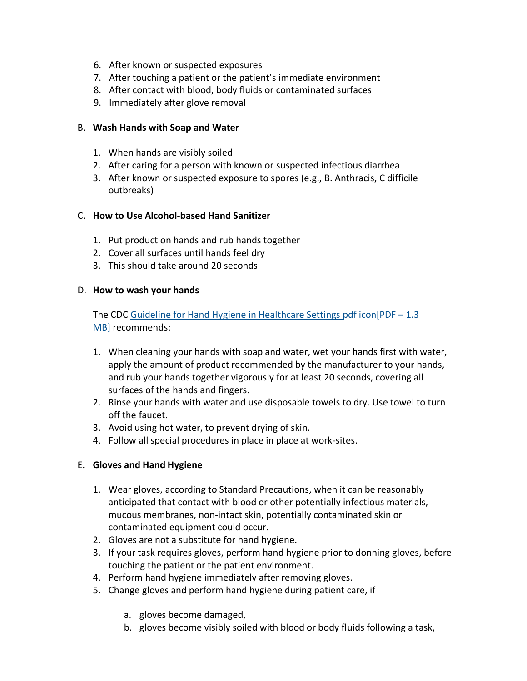- 6. After known or suspected exposures
- 7. After touching a patient or the patient's immediate environment
- 8. After contact with blood, body fluids or contaminated surfaces
- 9. Immediately after glove removal

#### B. **Wash Hands with Soap and Water**

- 1. When hands are visibly soiled
- 2. After caring for a person with known or suspected infectious diarrhea
- 3. After known or suspected exposure to spores (e.g., B. Anthracis, C difficile outbreaks)

### C. **How to Use Alcohol-based Hand Sanitizer**

- 1. Put product on hands and rub hands together
- 2. Cover all surfaces until hands feel dry
- 3. This should take around 20 seconds

#### D. **How to wash your hands**

The CDC [Guideline for Hand Hygiene in Healthcare Settings pdf](https://www.cdc.gov/mmwr/PDF/rr/rr5116.pdf) icon[PDF - 1.3 [MB\]](https://www.cdc.gov/mmwr/PDF/rr/rr5116.pdf) recommends:

- 1. When cleaning your hands with soap and water, wet your hands first with water, apply the amount of product recommended by the manufacturer to your hands, and rub your hands together vigorously for at least 20 seconds, covering all surfaces of the hands and fingers.
- 2. Rinse your hands with water and use disposable towels to dry. Use towel to turn off the faucet.
- 3. Avoid using hot water, to prevent drying of skin.
- 4. Follow all special procedures in place in place at work-sites.

## E. **Gloves and Hand Hygiene**

- 1. Wear gloves, according to Standard Precautions, when it can be reasonably anticipated that contact with blood or other potentially infectious materials, mucous membranes, non-intact skin, potentially contaminated skin or contaminated equipment could occur.
- 2. Gloves are not a substitute for hand hygiene.
- 3. If your task requires gloves, perform hand hygiene prior to donning gloves, before touching the patient or the patient environment.
- 4. Perform hand hygiene immediately after removing gloves.
- 5. Change gloves and perform hand hygiene during patient care, if
	- a. gloves become damaged,
	- b. gloves become visibly soiled with blood or body fluids following a task,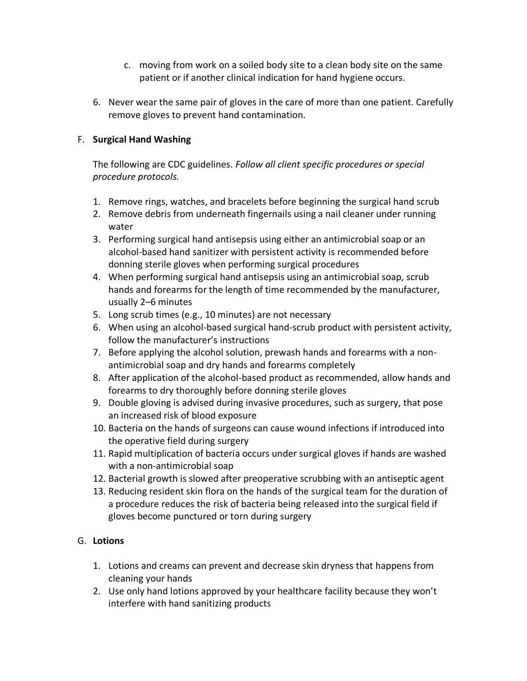- c. moving from work on a soiled body site to a clean body site on the same patient or if another clinical indication for hand hygiene occurs.
- 6. Never wear the same pair of gloves in the care of more than one patient. Carefully remove gloves to prevent hand contamination.

## F. **Surgical Hand Washing**

The following are CDC guidelines. *Follow all client specific procedures or special procedure protocols.*

- 1. Remove rings, watches, and bracelets before beginning the surgical hand scrub
- 2. Remove debris from underneath fingernails using a nail cleaner under running water
- 3. Performing surgical hand antisepsis using either an antimicrobial soap or an alcohol-based hand sanitizer with persistent activity is recommended before donning sterile gloves when performing surgical procedures
- 4. When performing surgical hand antisepsis using an antimicrobial soap, scrub hands and forearms for the length of time recommended by the manufacturer, usually 2–6 minutes
- 5. Long scrub times (e.g., 10 minutes) are not necessary
- 6. When using an alcohol-based surgical hand-scrub product with persistent activity, follow the manufacturer's instructions
- 7. Before applying the alcohol solution, prewash hands and forearms with a nonantimicrobial soap and dry hands and forearms completely
- 8. After application of the alcohol-based product as recommended, allow hands and forearms to dry thoroughly before donning sterile gloves
- 9. Double gloving is advised during invasive procedures, such as surgery, that pose an increased risk of blood exposure
- 10. Bacteria on the hands of surgeons can cause wound infections if introduced into the operative field during surgery
- 11. Rapid multiplication of bacteria occurs under surgical gloves if hands are washed with a non-antimicrobial soap
- 12. Bacterial growth is slowed after preoperative scrubbing with an antiseptic agent
- 13. Reducing resident skin flora on the hands of the surgical team for the duration of a procedure reduces the risk of bacteria being released into the surgical field if gloves become punctured or torn during surgery

## G. **Lotions**

- 1. Lotions and creams can prevent and decrease skin dryness that happens from cleaning your hands
- 2. Use only hand lotions approved by your healthcare facility because they won't interfere with hand sanitizing products